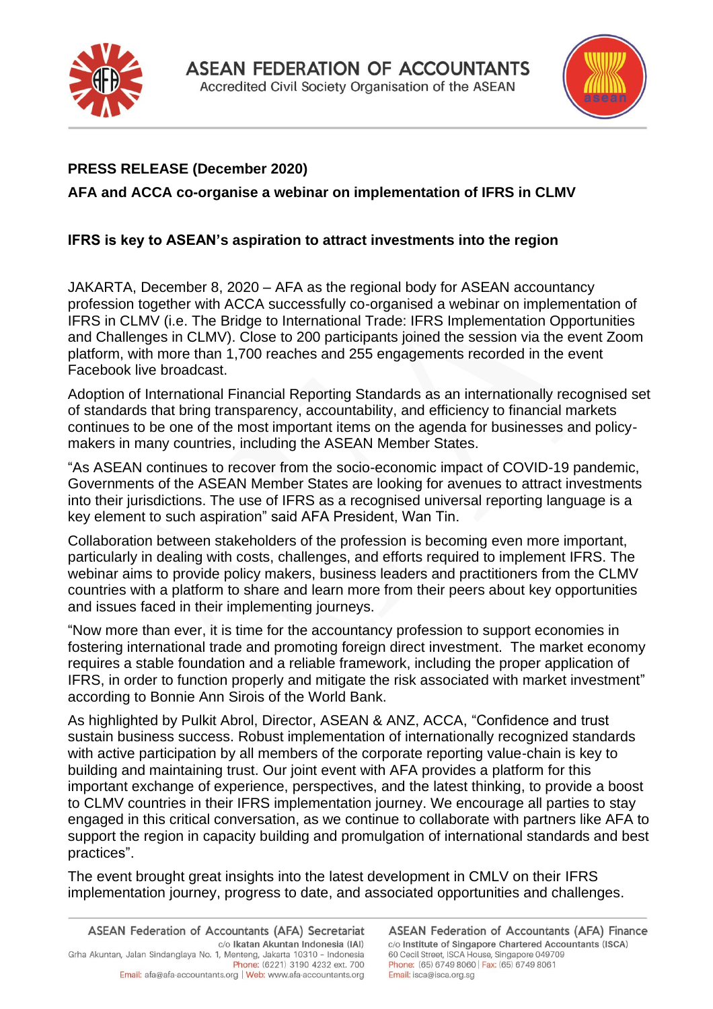



## **PRESS RELEASE (December 2020)**

**AFA and ACCA co-organise a webinar on implementation of IFRS in CLMV**

## **IFRS is key to ASEAN's aspiration to attract investments into the region**

JAKARTA, December 8, 2020 – AFA as the regional body for ASEAN accountancy profession together with ACCA successfully co-organised a webinar on implementation of IFRS in CLMV (i.e. The Bridge to International Trade: IFRS Implementation Opportunities and Challenges in CLMV). Close to 200 participants joined the session via the event Zoom platform, with more than 1,700 reaches and 255 engagements recorded in the event Facebook live broadcast.

Adoption of International Financial Reporting Standards as an internationally recognised set of standards that bring transparency, accountability, and efficiency to financial markets continues to be one of the most important items on the agenda for businesses and policymakers in many countries, including the ASEAN Member States.

"As ASEAN continues to recover from the socio-economic impact of COVID-19 pandemic, Governments of the ASEAN Member States are looking for avenues to attract investments into their jurisdictions. The use of IFRS as a recognised universal reporting language is a key element to such aspiration" said AFA President, Wan Tin.

Collaboration between stakeholders of the profession is becoming even more important, particularly in dealing with costs, challenges, and efforts required to implement IFRS. The webinar aims to provide policy makers, business leaders and practitioners from the CLMV countries with a platform to share and learn more from their peers about key opportunities and issues faced in their implementing journeys.

"Now more than ever, it is time for the accountancy profession to support economies in fostering international trade and promoting foreign direct investment. The market economy requires a stable foundation and a reliable framework, including the proper application of IFRS, in order to function properly and mitigate the risk associated with market investment" according to Bonnie Ann Sirois of the World Bank.

As highlighted by Pulkit Abrol, Director, ASEAN & ANZ, ACCA, "Confidence and trust sustain business success. Robust implementation of internationally recognized standards with active participation by all members of the corporate reporting value-chain is key to building and maintaining trust. Our joint event with AFA provides a platform for this important exchange of experience, perspectives, and the latest thinking, to provide a boost to CLMV countries in their IFRS implementation journey. We encourage all parties to stay engaged in this critical conversation, as we continue to collaborate with partners like AFA to support the region in capacity building and promulgation of international standards and best practices".

The event brought great insights into the latest development in CMLV on their IFRS implementation journey, progress to date, and associated opportunities and challenges.